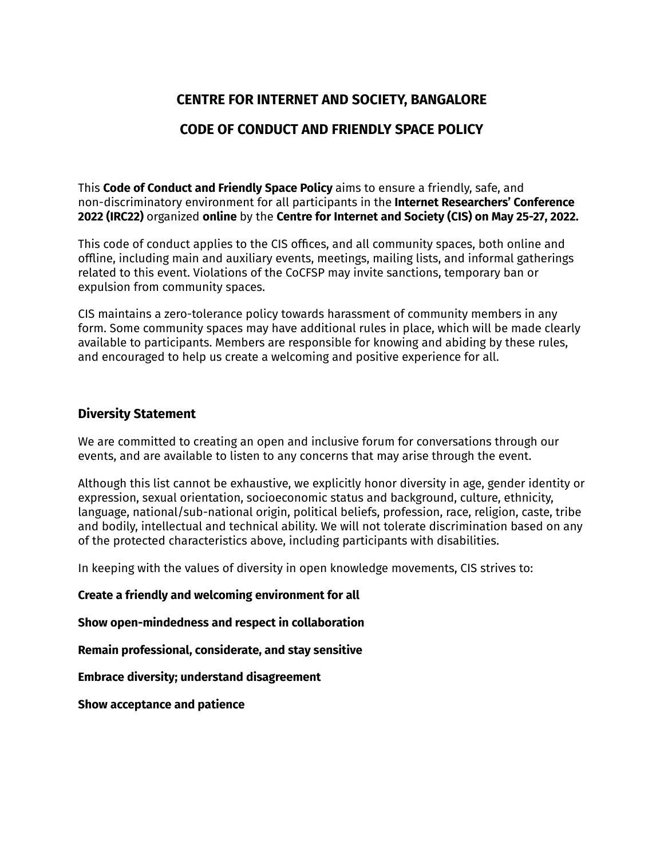# **CENTRE FOR INTERNET AND SOCIETY, BANGALORE**

## **CODE OF CONDUCT AND FRIENDLY SPACE POLICY**

This **Code of Conduct and Friendly Space Policy** aims to ensure a friendly, safe, and non-discriminatory environment for all participants in the **Internet Researchers' Conference 2022 (IRC22)** organized **online** by the **Centre for Internet and Society (CIS) on May 25-27, 2022.**

This code of conduct applies to the CIS offices, and all community spaces, both online and offline, including main and auxiliary events, meetings, mailing lists, and informal gatherings related to this event. Violations of the CoCFSP may invite sanctions, temporary ban or expulsion from community spaces.

CIS maintains a zero-tolerance policy towards harassment of community members in any form. Some community spaces may have additional rules in place, which will be made clearly available to participants. Members are responsible for knowing and abiding by these rules, and encouraged to help us create a welcoming and positive experience for all.

### **Diversity Statement**

We are committed to creating an open and inclusive forum for conversations through our events, and are available to listen to any concerns that may arise through the event.

Although this list cannot be exhaustive, we explicitly honor diversity in age, gender identity or expression, sexual orientation, socioeconomic status and background, culture, ethnicity, language, national/sub-national origin, political beliefs, profession, race, religion, caste, tribe and bodily, intellectual and technical ability. We will not tolerate discrimination based on any of the protected characteristics above, including participants with disabilities.

In keeping with the values of diversity in open knowledge movements, CIS strives to:

**Create a friendly and welcoming environment for all**

**Show open-mindedness and respect in collaboration**

**Remain professional, considerate, and stay sensitive**

**Embrace diversity; understand disagreement**

**Show acceptance and patience**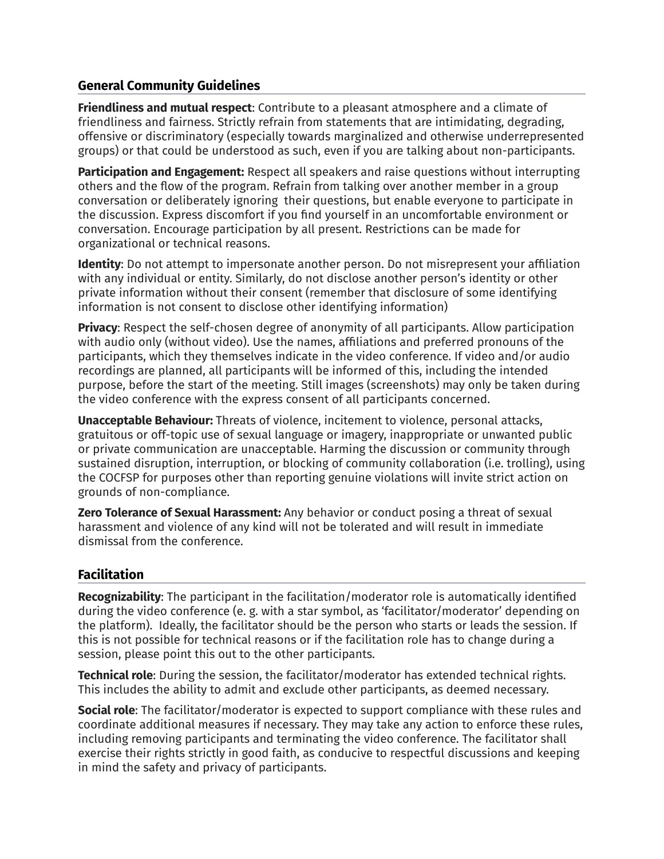## **General Community Guidelines**

**Friendliness and mutual respect**: Contribute to a pleasant atmosphere and a climate of friendliness and fairness. Strictly refrain from statements that are intimidating, degrading, offensive or discriminatory (especially towards marginalized and otherwise underrepresented groups) or that could be understood as such, even if you are talking about non-participants.

**Participation and Engagement:** Respect all speakers and raise questions without interrupting others and the flow of the program. Refrain from talking over another member in a group conversation or deliberately ignoring their questions, but enable everyone to participate in the discussion. Express discomfort if you find yourself in an uncomfortable environment or conversation. Encourage participation by all present. Restrictions can be made for organizational or technical reasons.

**Identity**: Do not attempt to impersonate another person. Do not misrepresent your affiliation with any individual or entity. Similarly, do not disclose another person's identity or other private information without their consent (remember that disclosure of some identifying information is not consent to disclose other identifying information)

**Privacy**: Respect the self-chosen degree of anonymity of all participants. Allow participation with audio only (without video). Use the names, affiliations and preferred pronouns of the participants, which they themselves indicate in the video conference. If video and/or audio recordings are planned, all participants will be informed of this, including the intended purpose, before the start of the meeting. Still images (screenshots) may only be taken during the video conference with the express consent of all participants concerned.

**Unacceptable Behaviour:** Threats of violence, incitement to violence, personal attacks, gratuitous or off-topic use of sexual language or imagery, inappropriate or unwanted public or private communication are unacceptable. Harming the discussion or community through sustained disruption, interruption, or blocking of community collaboration (i.e. trolling), using the COCFSP for purposes other than reporting genuine violations will invite strict action on grounds of non-compliance.

**Zero Tolerance of Sexual Harassment:** Any behavior or conduct posing a threat of sexual harassment and violence of any kind will not be tolerated and will result in immediate dismissal from the conference.

## **Facilitation**

**Recognizability**: The participant in the facilitation/moderator role is automatically identified during the video conference (e. g. with a star symbol, as 'facilitator/moderator' depending on the platform). Ideally, the facilitator should be the person who starts or leads the session. If this is not possible for technical reasons or if the facilitation role has to change during a session, please point this out to the other participants.

**Technical role**: During the session, the facilitator/moderator has extended technical rights. This includes the ability to admit and exclude other participants, as deemed necessary.

**Social role**: The facilitator/moderator is expected to support compliance with these rules and coordinate additional measures if necessary. They may take any action to enforce these rules, including removing participants and terminating the video conference. The facilitator shall exercise their rights strictly in good faith, as conducive to respectful discussions and keeping in mind the safety and privacy of participants.